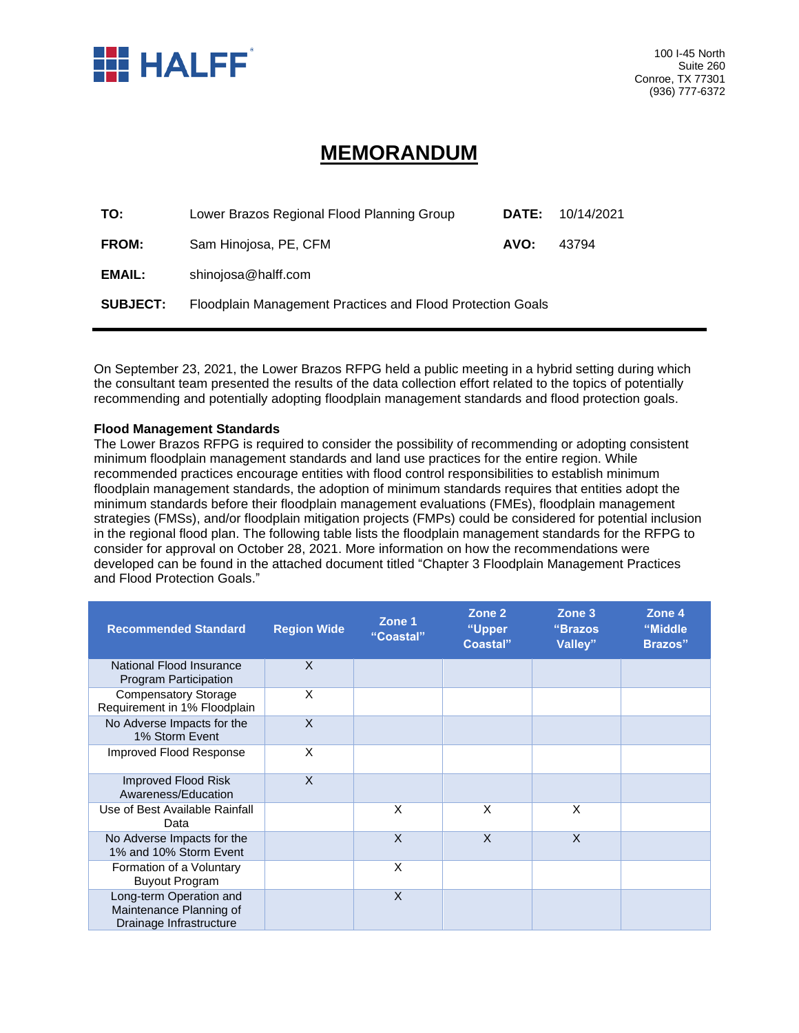

## **MEMORANDUM**

| TO:             | Lower Brazos Regional Flood Planning Group                 | <b>DATE:</b> | 10/14/2021 |  |
|-----------------|------------------------------------------------------------|--------------|------------|--|
| FROM:           | Sam Hinojosa, PE, CFM                                      |              | 43794      |  |
| EMAIL:          | shinojosa@halff.com                                        |              |            |  |
| <b>SUBJECT:</b> | Floodplain Management Practices and Flood Protection Goals |              |            |  |

On September 23, 2021, the Lower Brazos RFPG held a public meeting in a hybrid setting during which the consultant team presented the results of the data collection effort related to the topics of potentially recommending and potentially adopting floodplain management standards and flood protection goals.

## **Flood Management Standards**

The Lower Brazos RFPG is required to consider the possibility of recommending or adopting consistent minimum floodplain management standards and land use practices for the entire region. While recommended practices encourage entities with flood control responsibilities to establish minimum floodplain management standards, the adoption of minimum standards requires that entities adopt the minimum standards before their floodplain management evaluations (FMEs), floodplain management strategies (FMSs), and/or floodplain mitigation projects (FMPs) could be considered for potential inclusion in the regional flood plan. The following table lists the floodplain management standards for the RFPG to consider for approval on October 28, 2021. More information on how the recommendations were developed can be found in the attached document titled "Chapter 3 Floodplain Management Practices and Flood Protection Goals."

| <b>Recommended Standard</b>                                                   | <b>Region Wide</b> | Zone 1<br>"Coastal" | Zone 2<br>"Upper<br>Coastal" | Zone 3<br>"Brazos<br>Valley" | Zone 4<br>"Middle<br><b>Brazos</b> " |
|-------------------------------------------------------------------------------|--------------------|---------------------|------------------------------|------------------------------|--------------------------------------|
| National Flood Insurance<br>Program Participation                             | X                  |                     |                              |                              |                                      |
| <b>Compensatory Storage</b><br>Requirement in 1% Floodplain                   | X                  |                     |                              |                              |                                      |
| No Adverse Impacts for the<br>1% Storm Event                                  | X                  |                     |                              |                              |                                      |
| Improved Flood Response                                                       | X                  |                     |                              |                              |                                      |
| Improved Flood Risk<br>Awareness/Education                                    | $\times$           |                     |                              |                              |                                      |
| Use of Best Available Rainfall<br>Data                                        |                    | X                   | X                            | X                            |                                      |
| No Adverse Impacts for the<br>1% and 10% Storm Event                          |                    | X                   | X                            | X                            |                                      |
| Formation of a Voluntary<br><b>Buyout Program</b>                             |                    | X                   |                              |                              |                                      |
| Long-term Operation and<br>Maintenance Planning of<br>Drainage Infrastructure |                    | X                   |                              |                              |                                      |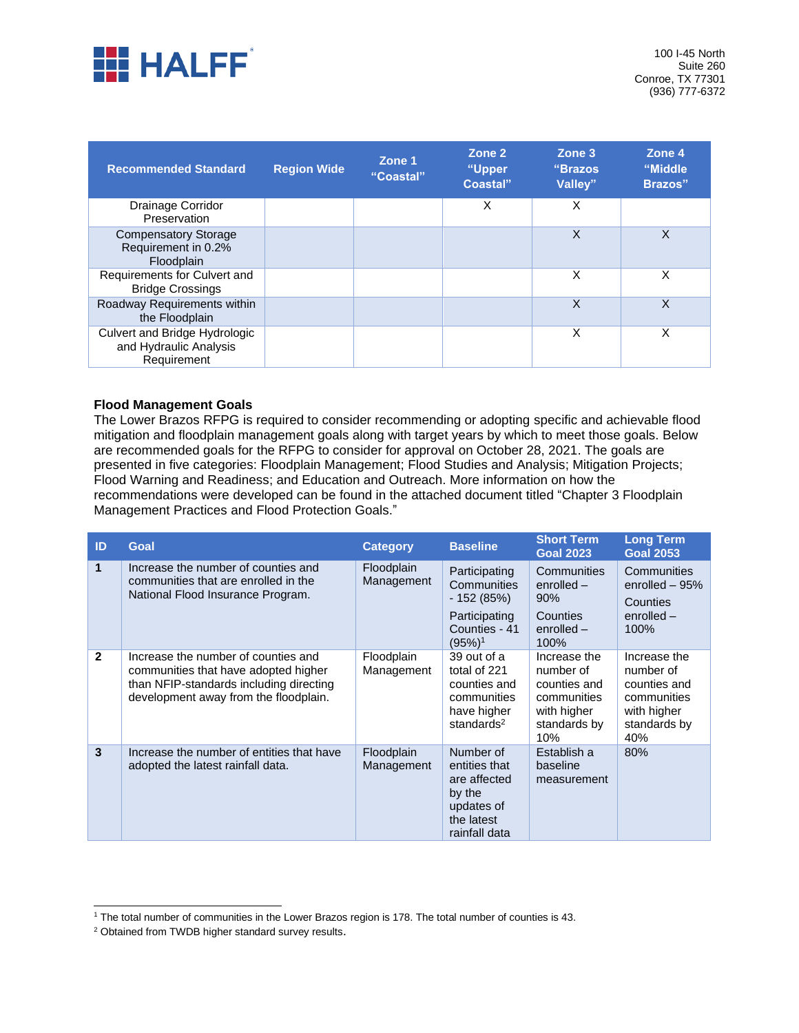

| <b>Recommended Standard</b>                                            | <b>Region Wide</b> | Zone 1<br>"Coastal" | Zone 2<br>"Upper<br>Coastal" | Zone 3<br>"Brazos"<br>Valley" | Zone 4<br>"Middle<br>Brazos" |
|------------------------------------------------------------------------|--------------------|---------------------|------------------------------|-------------------------------|------------------------------|
| Drainage Corridor<br>Preservation                                      |                    |                     | X                            | X                             |                              |
| <b>Compensatory Storage</b><br>Requirement in 0.2%<br>Floodplain       |                    |                     |                              | X                             | X                            |
| Requirements for Culvert and<br><b>Bridge Crossings</b>                |                    |                     |                              | X                             | X                            |
| Roadway Requirements within<br>the Floodplain                          |                    |                     |                              | X                             | X                            |
| Culvert and Bridge Hydrologic<br>and Hydraulic Analysis<br>Requirement |                    |                     |                              | X                             | X                            |

## **Flood Management Goals**

The Lower Brazos RFPG is required to consider recommending or adopting specific and achievable flood mitigation and floodplain management goals along with target years by which to meet those goals. Below are recommended goals for the RFPG to consider for approval on October 28, 2021. The goals are presented in five categories: Floodplain Management; Flood Studies and Analysis; Mitigation Projects; Flood Warning and Readiness; and Education and Outreach. More information on how the recommendations were developed can be found in the attached document titled "Chapter 3 Floodplain Management Practices and Flood Protection Goals."

| ID           | <b>Goal</b>                                                                                                                                                     | <b>Category</b>          | <b>Baseline</b>                                                                                       | <b>Short Term</b><br><b>Goal 2023</b>                                                          | <b>Long Term</b><br><b>Goal 2053</b>                                                           |
|--------------|-----------------------------------------------------------------------------------------------------------------------------------------------------------------|--------------------------|-------------------------------------------------------------------------------------------------------|------------------------------------------------------------------------------------------------|------------------------------------------------------------------------------------------------|
| 1            | Increase the number of counties and<br>communities that are enrolled in the<br>National Flood Insurance Program.                                                | Floodplain<br>Management | Participating<br>Communities<br>- 152 (85%)<br>Participating<br>Counties - 41<br>$(95%)$ <sup>1</sup> | Communities<br>$enrolled -$<br>90%<br>Counties<br>$enrolled -$<br>100%                         | Communities<br>enrolled $-95%$<br>Counties<br>$enrolled -$<br>100%                             |
| $\mathbf{2}$ | Increase the number of counties and<br>communities that have adopted higher<br>than NFIP-standards including directing<br>development away from the floodplain. | Floodplain<br>Management | 39 out of a<br>total of 221<br>counties and<br>communities<br>have higher<br>standards <sup>2</sup>   | Increase the<br>number of<br>counties and<br>communities<br>with higher<br>standards by<br>10% | Increase the<br>number of<br>counties and<br>communities<br>with higher<br>standards by<br>40% |
| $\mathbf{3}$ | Increase the number of entities that have<br>adopted the latest rainfall data.                                                                                  | Floodplain<br>Management | Number of<br>entities that<br>are affected<br>by the<br>updates of<br>the latest<br>rainfall data     | Establish a<br>baseline<br>measurement                                                         | 80%                                                                                            |

<sup>&</sup>lt;sup>1</sup> The total number of communities in the Lower Brazos region is 178. The total number of counties is 43.

<sup>2</sup> Obtained from TWDB higher standard survey results.